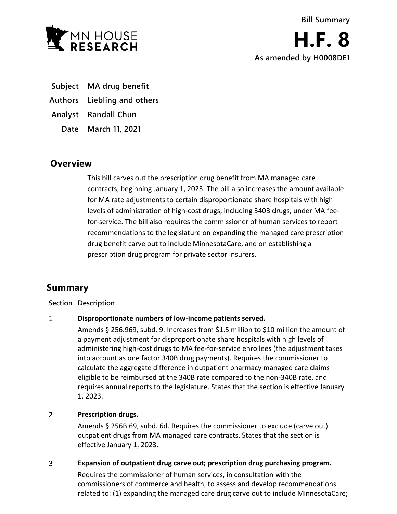

**As amended by H0008DE1**

**Subject MA drug benefit**

**Authors Liebling and others**

**Analyst Randall Chun**

**Date March 11, 2021**

## **Overview**

This bill carves out the prescription drug benefit from MA managed care contracts, beginning January 1, 2023. The bill also increases the amount available for MA rate adjustments to certain disproportionate share hospitals with high levels of administration of high-cost drugs, including 340B drugs, under MA feefor-service. The bill also requires the commissioner of human services to report recommendations to the legislature on expanding the managed care prescription drug benefit carve out to include MinnesotaCare, and on establishing a prescription drug program for private sector insurers.

# **Summary**

### **Section Description**

#### $\mathbf{1}$ **Disproportionate numbers of low-income patients served.**

Amends § 256.969, subd. 9. Increases from \$1.5 million to \$10 million the amount of a payment adjustment for disproportionate share hospitals with high levels of administering high-cost drugs to MA fee-for-service enrollees (the adjustment takes into account as one factor 340B drug payments). Requires the commissioner to calculate the aggregate difference in outpatient pharmacy managed care claims eligible to be reimbursed at the 340B rate compared to the non-340B rate, and requires annual reports to the legislature. States that the section is effective January 1, 2023.

#### $\overline{2}$ **Prescription drugs.**

Amends § 256B.69, subd. 6d. Requires the commissioner to exclude (carve out) outpatient drugs from MA managed care contracts. States that the section is effective January 1, 2023.

#### 3 **Expansion of outpatient drug carve out; prescription drug purchasing program.**

Requires the commissioner of human services, in consultation with the commissioners of commerce and health, to assess and develop recommendations related to: (1) expanding the managed care drug carve out to include MinnesotaCare;